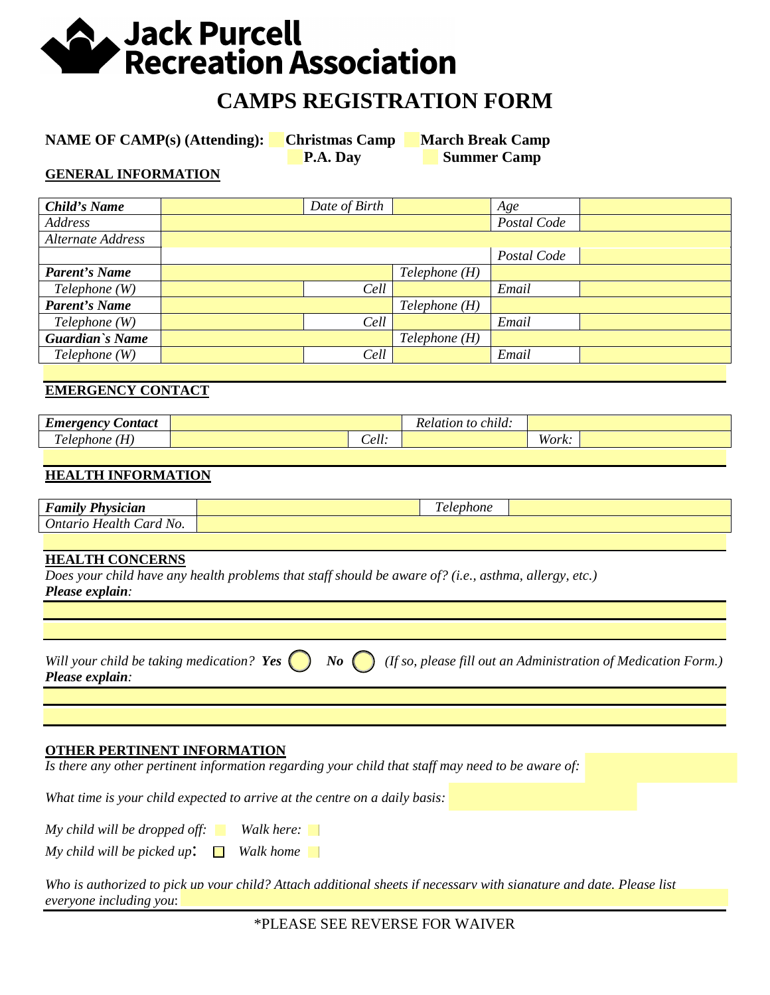# **A** Jack Purcell **Recreation Association**

## **CAMPS REGISTRATION FORM**

**NAME OF CAMP(s) (Attending):** Christmas Camp March Break Camp

**P.A. Day Summer Camp** 

#### **GENERAL INFORMATION**

| Child's Name         |  | Date of Birth |              | Age         |  |
|----------------------|--|---------------|--------------|-------------|--|
| Address              |  |               |              | Postal Code |  |
| Alternate Address    |  |               |              |             |  |
|                      |  |               |              | Postal Code |  |
| <b>Parent's Name</b> |  |               | Telephone(H) |             |  |
| Telephone (W)        |  | Cell          |              | Email       |  |
| <b>Parent's Name</b> |  |               | Telephone(H) |             |  |
| Telephone (W)        |  | Cell          |              | Email       |  |
| Guardian's Name      |  |               | Telephone(H) |             |  |
| Telephone(W)         |  | Cell          |              | Email       |  |
|                      |  |               |              |             |  |

#### **EMERGENCY CONTACT**

| $\overline{\phantom{0}}$<br>ontact<br>Emergency |                   | Relation t<br>t0<br>chua: |                                                                                                   |  |
|-------------------------------------------------|-------------------|---------------------------|---------------------------------------------------------------------------------------------------|--|
| T<br>$\sim$<br>lephone<br>n<br>2 U U U          | $\rho$ II<br>Cen. |                           | $W$ <sub><math>\alpha</math><math>\boldsymbol{v}</math><math>\boldsymbol{v}</math></sub><br>wurn. |  |

#### **HEALTH INFORMATION**

| $\sim$<br>$\mathbf{r}$<br>'hysician<br><b>CERAA</b><br>итии<br>- | $\sim$<br>evnone<br>$\lambda$ cm |  |
|------------------------------------------------------------------|----------------------------------|--|
| Card No.<br><i><b>Ontario</b></i><br>Health                      |                                  |  |

#### **HEALTH CONCERNS**

*Does your child have any health problems that staff should be aware of? (i.e., asthma, allergy, etc.) Please explain:* 

| Please explain: |  | Will your child be taking medication? Yes $\bigcirc$ No $\bigcirc$ (If so, please fill out an Administration of Medication Form.) |
|-----------------|--|-----------------------------------------------------------------------------------------------------------------------------------|
|-----------------|--|-----------------------------------------------------------------------------------------------------------------------------------|

#### **OTHER PERTINENT INFORMATION**

*Is there any other pertinent information regarding your child that staff may need to be aware of:*

*What time is your child expected to arrive at the centre on a daily basis:* 

*My child will be dropped off: Walk here:*

*My child will be picked up*: □ *Walk home* 

*Who is authorized to pick up your child? Attach additional sheets if necessary with signature and date. Please list everyone including you*: